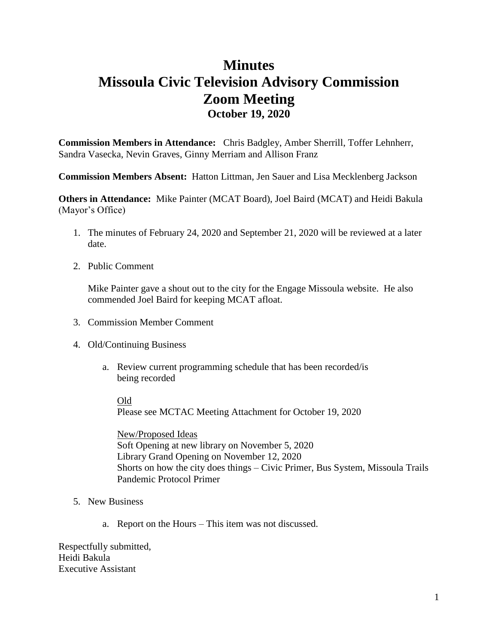# **Minutes Missoula Civic Television Advisory Commission Zoom Meeting October 19, 2020**

**Commission Members in Attendance:** Chris Badgley, Amber Sherrill, Toffer Lehnherr, Sandra Vasecka, Nevin Graves, Ginny Merriam and Allison Franz

**Commission Members Absent:** Hatton Littman, Jen Sauer and Lisa Mecklenberg Jackson

**Others in Attendance:** Mike Painter (MCAT Board), Joel Baird (MCAT) and Heidi Bakula (Mayor's Office)

- 1. The minutes of February 24, 2020 and September 21, 2020 will be reviewed at a later date.
- 2. Public Comment

Mike Painter gave a shout out to the city for the Engage Missoula website. He also commended Joel Baird for keeping MCAT afloat.

- 3. Commission Member Comment
- 4. Old/Continuing Business
	- a. Review current programming schedule that has been recorded/is being recorded

Old

Please see MCTAC Meeting Attachment for October 19, 2020

New/Proposed Ideas Soft Opening at new library on November 5, 2020 Library Grand Opening on November 12, 2020 Shorts on how the city does things – Civic Primer, Bus System, Missoula Trails Pandemic Protocol Primer

- 5. New Business
	- a. Report on the Hours This item was not discussed.

Respectfully submitted, Heidi Bakula Executive Assistant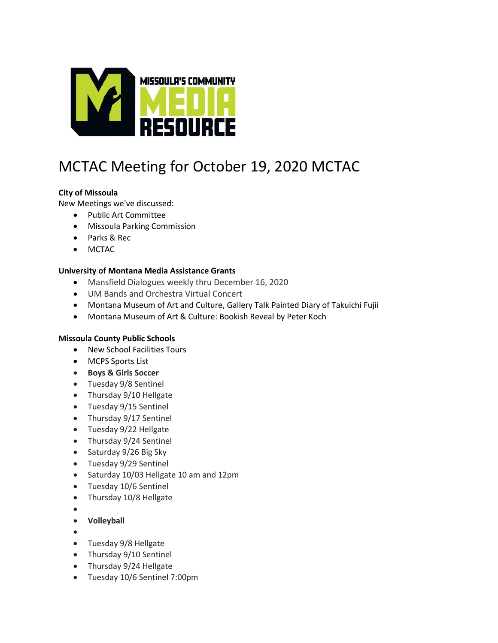

# MCTAC Meeting for October 19, 2020 MCTAC

## **City of Missoula**

New Meetings we've discussed:

- Public Art Committee
- Missoula Parking Commission
- Parks & Rec
- MCTAC

### **University of Montana Media Assistance Grants**

- Mansfield Dialogues weekly thru December 16, 2020
- UM Bands and Orchestra Virtual Concert
- Montana Museum of Art and Culture, Gallery Talk Painted Diary of Takuichi Fujii
- Montana Museum of Art & Culture: Bookish Reveal by Peter Koch

#### **Missoula County Public Schools**

- New School Facilities Tours
- MCPS Sports List
- **Boys & Girls Soccer**
- Tuesday 9/8 Sentinel
- Thursday 9/10 Hellgate
- Tuesday 9/15 Sentinel
- Thursday 9/17 Sentinel
- Tuesday 9/22 Hellgate
- Thursday 9/24 Sentinel
- Saturday 9/26 Big Sky
- Tuesday 9/29 Sentinel
- Saturday 10/03 Hellgate 10 am and 12pm
- Tuesday 10/6 Sentinel
- Thursday 10/8 Hellgate
- $\bullet$
- **Volleyball**
- $\bullet$
- Tuesday 9/8 Hellgate
- Thursday 9/10 Sentinel
- Thursday 9/24 Hellgate
- Tuesday 10/6 Sentinel 7:00pm